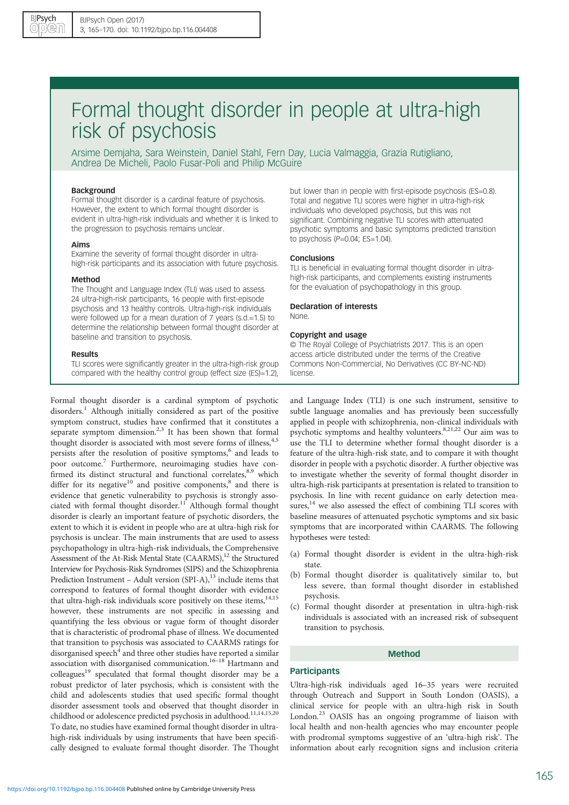# Formal thought disorder in people at ultra-high risk of psychosis

Arsime Demjaha, Sara Weinstein, Daniel Stahl, Fern Day, Lucia Valmaggia, Grazia Rutigliano, Andrea De Micheli, Paolo Fusar-Poli and Philip McGuire

#### Background

Formal thought disorder is a cardinal feature of psychosis. However, the extent to which formal thought disorder is evident in ultra-high-risk individuals and whether it is linked to the progression to psychosis remains unclear.

### Aims

Examine the severity of formal thought disorder in ultrahigh-risk participants and its association with future psychosis.

#### Method

The Thought and Language Index (TLI) was used to assess 24 ultra-high-risk participants, 16 people with first-episode psychosis and 13 healthy controls. Ultra-high-risk individuals were followed up for a mean duration of 7 years (s.d.=1.5) to determine the relationship between formal thought disorder at baseline and transition to psychosis.

#### Results

TLI scores were significantly greater in the ultra-high-risk group compared with the healthy control group (effect size (ES)=1.2),

Formal thought disorder is a cardinal symptom of psychotic disorders.<sup>[1](#page-4-0)</sup> Although initially considered as part of the positive symptom construct, studies have confirmed that it constitutes a separate symptom dimension.<sup>[2](#page-4-0)[,3](#page-5-0)</sup> It has been shown that formal thought disorder is associated with most severe forms of illness,<sup>[4,5](#page-5-0)</sup> persists after the resolution of positive symptoms,<sup>[6](#page-5-0)</sup> and leads to poor outcome.[7](#page-5-0) Furthermore, neuroimaging studies have con-firmed its distinct structural and functional correlates,<sup>[8,9](#page-5-0)</sup> which differ for its negative<sup>[10](#page-5-0)</sup> and positive components, $8$  and there is evidence that genetic vulnerability to psychosis is strongly asso-ciated with formal thought disorder.<sup>[11](#page-5-0)</sup> Although formal thought disorder is clearly an important feature of psychotic disorders, the extent to which it is evident in people who are at ultra-high risk for psychosis is unclear. The main instruments that are used to assess psychopathology in ultra-high-risk individuals, the Comprehensive Assessment of the At-Risk Mental State (CAARMS),<sup>12</sup> the Structured Interview for Psychosis-Risk Syndromes (SIPS) and the Schizophrenia Prediction Instrument – Adult version (SPI-A), $^{13}$  include items that correspond to features of formal thought disorder with evidence that ultra-high-risk individuals score positively on these items,  $14,15$ however, these instruments are not specific in assessing and quantifying the less obvious or vague form of thought disorder that is characteristic of prodromal phase of illness. We documented that transition to psychosis was associated to CAARMS ratings for disorganised speech $^4$  $^4$  and three other studies have reported a similar association with disorganised communication.<sup>[16](#page-5-0)–[18](#page-5-0)</sup> Hartmann and colleagues<sup>19</sup> speculated that formal thought disorder may be a robust predictor of later psychosis, which is consistent with the child and adolescents studies that used specific formal thought disorder assessment tools and observed that thought disorder in childhood or adolescence predicted psychosis in adulthood.<sup>[11](#page-5-0),[14,15,20](#page-5-0)</sup> To date, no studies have examined formal thought disorder in ultrahigh-risk individuals by using instruments that have been specifically designed to evaluate formal thought disorder. The Thought

but lower than in people with first-episode psychosis (ES=0.8). Total and negative TLI scores were higher in ultra-high-risk individuals who developed psychosis, but this was not significant. Combining negative TLI scores with attenuated psychotic symptoms and basic symptoms predicted transition to psychosis  $(P=0.04; ES=1.04)$ .

#### Conclusions

TLI is beneficial in evaluating formal thought disorder in ultrahigh-risk participants, and complements existing instruments for the evaluation of psychopathology in this group.

# Declaration of interests

None.

#### Copyright and usage

© The Royal College of Psychiatrists 2017. This is an open access article distributed under the terms of the Creative Commons Non-Commercial, No Derivatives (CC BY-NC-ND) license.

and Language Index (TLI) is one such instrument, sensitive to subtle language anomalies and has previously been successfully applied in people with schizophrenia, non-clinical individuals with psychotic symptoms and healthy volunteers. $8,21,22$  Our aim was to use the TLI to determine whether formal thought disorder is a feature of the ultra-high-risk state, and to compare it with thought disorder in people with a psychotic disorder. A further objective was to investigate whether the severity of formal thought disorder in ultra-high-risk participants at presentation is related to transition to psychosis. In line with recent guidance on early detection measures,<sup>14</sup> we also assessed the effect of combining TLI scores with baseline measures of attenuated psychotic symptoms and six basic symptoms that are incorporated within CAARMS. The following hypotheses were tested:

- (a) Formal thought disorder is evident in the ultra-high-risk state.
- (b) Formal thought disorder is qualitatively similar to, but less severe, than formal thought disorder in established psychosis.
- (c) Formal thought disorder at presentation in ultra-high-risk individuals is associated with an increased risk of subsequent transition to psychosis.

# Method

# **Participants**

Ultra-high-risk individuals aged 16–35 years were recruited through Outreach and Support in South London (OASIS), a clinical service for people with an ultra-high risk in South London.<sup>[23](#page-5-0)</sup> OASIS has an ongoing programme of liaison with local health and non-health agencies who may encounter people with prodromal symptoms suggestive of an 'ultra-high risk'. The information about early recognition signs and inclusion criteria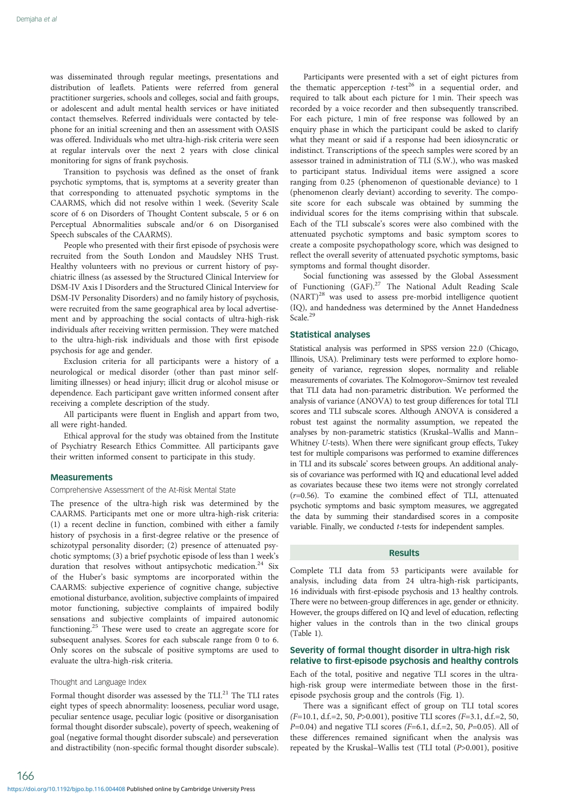was disseminated through regular meetings, presentations and distribution of leaflets. Patients were referred from general practitioner surgeries, schools and colleges, social and faith groups, or adolescent and adult mental health services or have initiated contact themselves. Referred individuals were contacted by telephone for an initial screening and then an assessment with OASIS was offered. Individuals who met ultra-high-risk criteria were seen at regular intervals over the next 2 years with close clinical monitoring for signs of frank psychosis.

Transition to psychosis was defined as the onset of frank psychotic symptoms, that is, symptoms at a severity greater than that corresponding to attenuated psychotic symptoms in the CAARMS, which did not resolve within 1 week. (Severity Scale score of 6 on Disorders of Thought Content subscale, 5 or 6 on Perceptual Abnormalities subscale and/or 6 on Disorganised Speech subscales of the CAARMS).

People who presented with their first episode of psychosis were recruited from the South London and Maudsley NHS Trust. Healthy volunteers with no previous or current history of psychiatric illness (as assessed by the Structured Clinical Interview for DSM-IV Axis I Disorders and the Structured Clinical Interview for DSM-IV Personality Disorders) and no family history of psychosis, were recruited from the same geographical area by local advertisement and by approaching the social contacts of ultra-high-risk individuals after receiving written permission. They were matched to the ultra-high-risk individuals and those with first episode psychosis for age and gender.

Exclusion criteria for all participants were a history of a neurological or medical disorder (other than past minor selflimiting illnesses) or head injury; illicit drug or alcohol misuse or dependence. Each participant gave written informed consent after receiving a complete description of the study.

All participants were fluent in English and appart from two, all were right-handed.

Ethical approval for the study was obtained from the Institute of Psychiatry Research Ethics Committee. All participants gave their written informed consent to participate in this study.

# **Measurements**

#### Comprehensive Assessment of the At-Risk Mental State

The presence of the ultra-high risk was determined by the CAARMS. Participants met one or more ultra-high-risk criteria: (1) a recent decline in function, combined with either a family history of psychosis in a first-degree relative or the presence of schizotypal personality disorder; (2) presence of attenuated psychotic symptoms; (3) a brief psychotic episode of less than 1 week's duration that resolves without antipsychotic medication.<sup>[24](#page-5-0)</sup> Six of the Huber's basic symptoms are incorporated within the CAARMS: subjective experience of cognitive change, subjective emotional disturbance, avolition, subjective complaints of impaired motor functioning, subjective complaints of impaired bodily sensations and subjective complaints of impaired autonomic functioning.[25](#page-5-0) These were used to create an aggregate score for subsequent analyses. Scores for each subscale range from 0 to 6. Only scores on the subscale of positive symptoms are used to evaluate the ultra-high-risk criteria.

#### Thought and Language Index

166

Formal thought disorder was assessed by the TLI.<sup>[21](#page-5-0)</sup> The TLI rates eight types of speech abnormality: looseness, peculiar word usage, peculiar sentence usage, peculiar logic (positive or disorganisation formal thought disorder subscale), poverty of speech, weakening of goal (negative formal thought disorder subscale) and perseveration and distractibility (non-specific formal thought disorder subscale).

Participants were presented with a set of eight pictures from the thematic apperception  $t$ -test<sup>26</sup> in a sequential order, and required to talk about each picture for 1 min. Their speech was recorded by a voice recorder and then subsequently transcribed. For each picture, 1 min of free response was followed by an enquiry phase in which the participant could be asked to clarify what they meant or said if a response had been idiosyncratic or indistinct. Transcriptions of the speech samples were scored by an assessor trained in administration of TLI (S.W.), who was masked to participant status. Individual items were assigned a score ranging from 0.25 (phenomenon of questionable deviance) to 1 (phenomenon clearly deviant) according to severity. The composite score for each subscale was obtained by summing the individual scores for the items comprising within that subscale. Each of the TLI subscale's scores were also combined with the attenuated psychotic symptoms and basic symptom scores to create a composite psychopathology score, which was designed to reflect the overall severity of attenuated psychotic symptoms, basic symptoms and formal thought disorder.

Social functioning was assessed by the Global Assessment of Functioning (GAF).<sup>[27](#page-5-0)</sup> The National Adult Reading Scale (NART)<sup>[28](#page-5-0)</sup> was used to assess pre-morbid intelligence quotient (IQ), and handedness was determined by the Annet Handedness Scale.<sup>[29](#page-5-0)</sup>

# Statistical analyses

Statistical analysis was performed in SPSS version 22.0 (Chicago, Illinois, USA). Preliminary tests were performed to explore homogeneity of variance, regression slopes, normality and reliable measurements of covariates. The Kolmogorov–Smirnov test revealed that TLI data had non-parametric distribution. We performed the analysis of variance (ANOVA) to test group differences for total TLI scores and TLI subscale scores. Although ANOVA is considered a robust test against the normality assumption, we repeated the analyses by non-parametric statistics (Kruskal–Wallis and Mann– Whitney U-tests). When there were significant group effects, Tukey test for multiple comparisons was performed to examine differences in TLI and its subscale' scores between groups. An additional analy‐ sis of covariance was performed with IQ and educational level added as covariates because these two items were not strongly correlated (r=0.56). To examine the combined effect of TLI, attenuated psychotic symptoms and basic symptom measures, we aggregated the data by summing their standardised scores in a composite variable. Finally, we conducted t-tests for independent samples.

### Results

Complete TLI data from 53 participants were available for analysis, including data from 24 ultra-high-risk participants, 16 individuals with first-episode psychosis and 13 healthy controls. There were no between-group differences in age, gender or ethnicity. However, the groups differed on IQ and level of education, reflecting higher values in the controls than in the two clinical groups ([Table 1](#page-2-0)).

#### Severity of formal thought disorder in ultra-high risk relative to first-episode psychosis and healthy controls

Each of the total, positive and negative TLI scores in the ultrahigh-risk group were intermediate between those in the firstepisode psychosis group and the controls [\(Fig. 1\)](#page-2-0).

There was a significant effect of group on TLI total scores  $(F=10.1, d.f.=2, 50, P>0.001)$ , positive TLI scores  $(F=3.1, d.f.=2, 50,$  $P=0.04$ ) and negative TLI scores ( $F=6.1$ , d.f.=2, 50,  $P=0.05$ ). All of these differences remained significant when the analysis was repeated by the Kruskal–Wallis test (TLI total (P>0.001), positive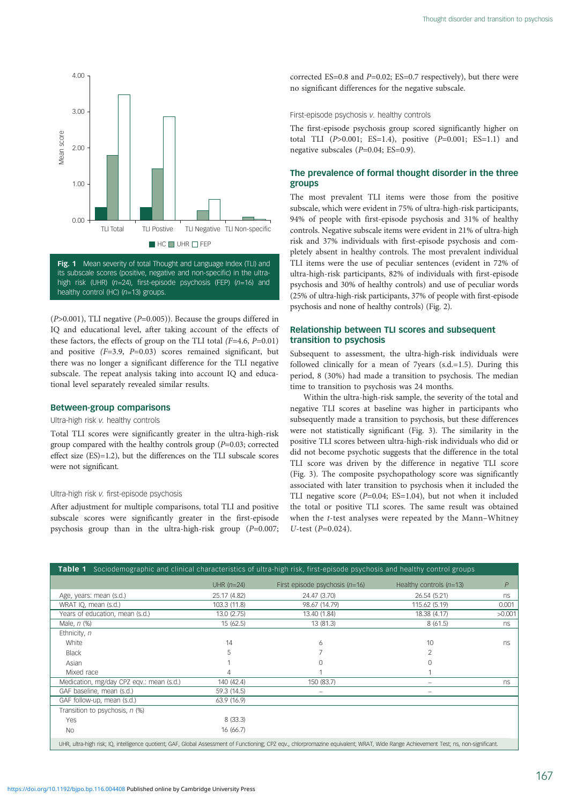<span id="page-2-0"></span>

its subscale scores (positive, negative and non-specific) in the ultrahigh risk (UHR) ( $n=24$ ), first-episode psychosis (FEP) ( $n=16$ ) and healthy control (HC) ( $n=13$ ) groups.

 $(P>0.001)$ , TLI negative  $(P=0.005)$ ). Because the groups differed in IQ and educational level, after taking account of the effects of these factors, the effects of group on the TLI total  $(F=4.6, P=0.01)$ and positive  $(F=3.9, P=0.03)$  scores remained significant, but there was no longer a significant difference for the TLI negative subscale. The repeat analysis taking into account IQ and educational level separately revealed similar results.

# Between-group comparisons

#### Ultra-high risk v. healthy controls

Total TLI scores were significantly greater in the ultra-high-risk group compared with the healthy controls group  $(P=0.03;$  corrected effect size (ES)=1.2), but the differences on the TLI subscale scores were not significant.

#### Ultra-high risk v. first-episode psychosis

After adjustment for multiple comparisons, total TLI and positive subscale scores were significantly greater in the first-episode psychosis group than in the ultra-high-risk group (P=0.007; corrected ES=0.8 and  $P=0.02$ ; ES=0.7 respectively), but there were no significant differences for the negative subscale.

First-episode psychosis v. healthy controls

The first-episode psychosis group scored significantly higher on total TLI  $(P>0.001; ES=1.4)$ , positive  $(P=0.001; ES=1.1)$  and negative subscales (P=0.04; ES=0.9).

# The prevalence of formal thought disorder in the three groups

The most prevalent TLI items were those from the positive subscale, which were evident in 75% of ultra-high-risk participants, 94% of people with first-episode psychosis and 31% of healthy controls. Negative subscale items were evident in 21% of ultra-high risk and 37% individuals with first-episode psychosis and completely absent in healthy controls. The most prevalent individual TLI items were the use of peculiar sentences (evident in 72% of ultra-high-risk participants, 82% of individuals with first-episode psychosis and 30% of healthy controls) and use of peculiar words (25% of ultra-high-risk participants, 37% of people with first-episode psychosis and none of healthy controls) ([Fig. 2](#page-3-0)).

# Relationship between TLI scores and subsequent transition to psychosis

Subsequent to assessment, the ultra-high-risk individuals were followed clinically for a mean of 7years (s.d.=1.5). During this period, 8 (30%) had made a transition to psychosis. The median time to transition to psychosis was 24 months.

Within the ultra-high-risk sample, the severity of the total and negative TLI scores at baseline was higher in participants who subsequently made a transition to psychosis, but these differences were not statistically significant ([Fig. 3\)](#page-4-0). The similarity in the positive TLI scores between ultra-high-risk individuals who did or did not become psychotic suggests that the difference in the total TLI score was driven by the difference in negative TLI score ([Fig. 3\)](#page-4-0). The composite psychopathology score was significantly associated with later transition to psychosis when it included the TLI negative score  $(P=0.04; ES=1.04)$ , but not when it included the total or positive TLI scores. The same result was obtained when the t-test analyses were repeated by the Mann–Whitney  $U$ -test ( $P=0.024$ ).

| Sociodemographic and clinical characteristics of ultra-high risk, first-episode psychosis and healthy control groups<br>Table 1                                                      |              |                                  |                           |              |  |  |  |  |
|--------------------------------------------------------------------------------------------------------------------------------------------------------------------------------------|--------------|----------------------------------|---------------------------|--------------|--|--|--|--|
|                                                                                                                                                                                      | UHR $(n=24)$ | First episode psychosis $(n=16)$ | Healthy controls $(n=13)$ | $\mathsf{P}$ |  |  |  |  |
| Age, years: mean (s.d.)                                                                                                                                                              | 25.17 (4.82) | 24.47 (3.70)                     | 26.54 (5.21)              | ns           |  |  |  |  |
| WRAT IQ, mean (s.d.)                                                                                                                                                                 | 103.3 (11.8) | 98.67 (14.79)                    | 115.62 (5.19)             | 0.001        |  |  |  |  |
| Years of education, mean (s.d.)                                                                                                                                                      | 13.0 (2.75)  | 13.40 (1.84)                     | 18.38 (4.17)              | >0.001       |  |  |  |  |
| Male, $n$ $%$                                                                                                                                                                        | 15 (62.5)    | 13 (81.3)                        | 8(61.5)                   | ns           |  |  |  |  |
| Ethnicity, n                                                                                                                                                                         |              |                                  |                           |              |  |  |  |  |
| White                                                                                                                                                                                | 14           | 6                                | 10                        | ns.          |  |  |  |  |
| <b>Black</b>                                                                                                                                                                         | 5            |                                  |                           |              |  |  |  |  |
| Asian                                                                                                                                                                                |              |                                  | O                         |              |  |  |  |  |
| Mixed race                                                                                                                                                                           | 4            |                                  |                           |              |  |  |  |  |
| Medication, mg/day CPZ eqv.: mean (s.d.)                                                                                                                                             | 140 (42.4)   | 150 (83.7)                       | $\overline{\phantom{0}}$  | ns           |  |  |  |  |
| GAF baseline, mean (s.d.)                                                                                                                                                            | 59.3 (14.5)  | $\overline{\phantom{0}}$         | -                         |              |  |  |  |  |
| GAF follow-up, mean (s.d.)                                                                                                                                                           | 63.9(16.9)   |                                  |                           |              |  |  |  |  |
| Transition to psychosis, n (%)                                                                                                                                                       |              |                                  |                           |              |  |  |  |  |
| Yes                                                                                                                                                                                  | 8 (33.3)     |                                  |                           |              |  |  |  |  |
| <b>No</b>                                                                                                                                                                            | 16 (66.7)    |                                  |                           |              |  |  |  |  |
| UHR, ultra-high risk; IQ, intelligence quotient; GAF, Global Assessment of Functioning; CPZ eqv., chlorpromazine equivalent; WRAT, Wide Range Achievement Test; ns, non-significant. |              |                                  |                           |              |  |  |  |  |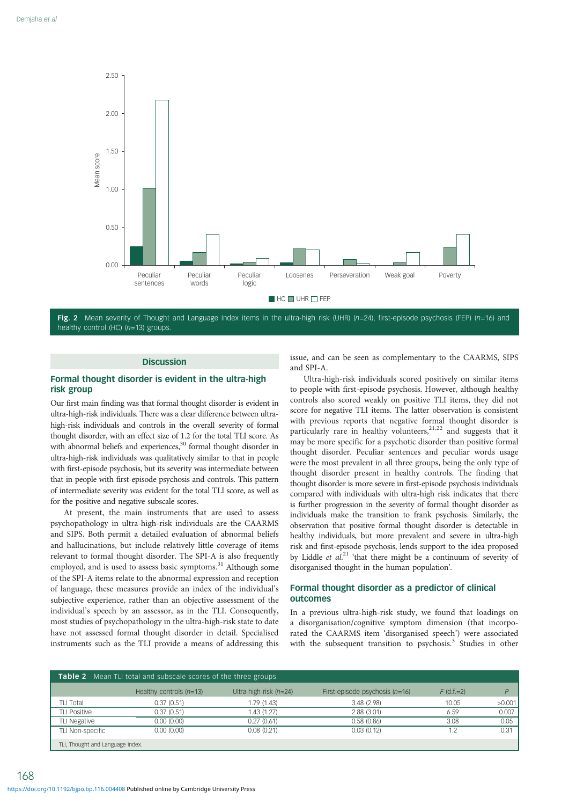<span id="page-3-0"></span>

Fig. 2 Mean severity of Thought and Language Index items in the ultra-high risk (UHR) (n=24), first-episode psychosis (FEP) (n=16) and healthy control (HC) (n=13) groups.

# **Discussion**

# Formal thought disorder is evident in the ultra-high risk group

Our first main finding was that formal thought disorder is evident in ultra-high-risk individuals. There was a clear difference between ultrahigh-risk individuals and controls in the overall severity of formal thought disorder, with an effect size of 1.2 for the total TLI score. As with abnormal beliefs and experiences,<sup>30</sup> formal thought disorder in ultra-high-risk individuals was qualitatively similar to that in people with first-episode psychosis, but its severity was intermediate between that in people with first-episode psychosis and controls. This pattern of intermediate severity was evident for the total TLI score, as well as for the positive and negative subscale scores.

At present, the main instruments that are used to assess psychopathology in ultra-high-risk individuals are the CAARMS and SIPS. Both permit a detailed evaluation of abnormal beliefs and hallucinations, but include relatively little coverage of items relevant to formal thought disorder. The SPI-A is also frequently employed, and is used to assess basic symptoms.<sup>[31](#page-5-0)</sup> Although some of the SPI-A items relate to the abnormal expression and reception of language, these measures provide an index of the individual's subjective experience, rather than an objective assessment of the individual's speech by an assessor, as in the TLI. Consequently, most studies of psychopathology in the ultra-high-risk state to date have not assessed formal thought disorder in detail. Specialised instruments such as the TLI provide a means of addressing this

issue, and can be seen as complementary to the CAARMS, SIPS and SPI-A.

Ultra-high-risk individuals scored positively on similar items to people with first-episode psychosis. However, although healthy controls also scored weakly on positive TLI items, they did not score for negative TLI items. The latter observation is consistent with previous reports that negative formal thought disorder is particularly rare in healthy volunteers, $21,22$  $21,22$  $21,22$  and suggests that it may be more specific for a psychotic disorder than positive formal thought disorder. Peculiar sentences and peculiar words usage were the most prevalent in all three groups, being the only type of thought disorder present in healthy controls. The finding that thought disorder is more severe in first-episode psychosis individuals compared with individuals with ultra-high risk indicates that there is further progression in the severity of formal thought disorder as individuals make the transition to frank psychosis. Similarly, the observation that positive formal thought disorder is detectable in healthy individuals, but more prevalent and severe in ultra-high risk and first-episode psychosis, lends support to the idea proposed by Liddle et al.<sup>[21](#page-5-0)</sup> 'that there might be a continuum of severity of disorganised thought in the human population'.

#### Formal thought disorder as a predictor of clinical outcomes

In a previous ultra-high-risk study, we found that loadings on a disorganisation/cognitive symptom dimension (that incorporated the CAARMS item 'disorganised speech') were associated with the subsequent transition to psychosis.<sup>[3](#page-5-0)</sup> Studies in other

| <b>Table 2</b> Mean TLI total and subscale scores of the three groups |                           |                          |                                  |              |        |  |  |  |
|-----------------------------------------------------------------------|---------------------------|--------------------------|----------------------------------|--------------|--------|--|--|--|
|                                                                       | Healthy controls $(n=13)$ | Ultra-high risk $(n=24)$ | First-episode psychosis $(n=16)$ | $F$ (d.f.=2) | D      |  |  |  |
| TLI Total                                                             | 0.37(0.51)                | 1.79(1.43)               | 3.48(2.98)                       | 10.05        | >0.001 |  |  |  |
| <b>TLI Positive</b>                                                   | 0.37(0.51)                | 1.43(1.27)               | 2.88(3.01)                       | 6.59         | 0.007  |  |  |  |
| <b>TLI Negative</b>                                                   | 0.00(0.00)                | 0.27(0.61)               | 0.58(0.86)                       | 3.08         | 0.05   |  |  |  |
| TLI Non-specific                                                      | 0.00(0.00)                | 0.08(0.21)               | 0.03(0.12)                       | 1.2          | 0.31   |  |  |  |
| TLI, Thought and Language Index.                                      |                           |                          |                                  |              |        |  |  |  |

168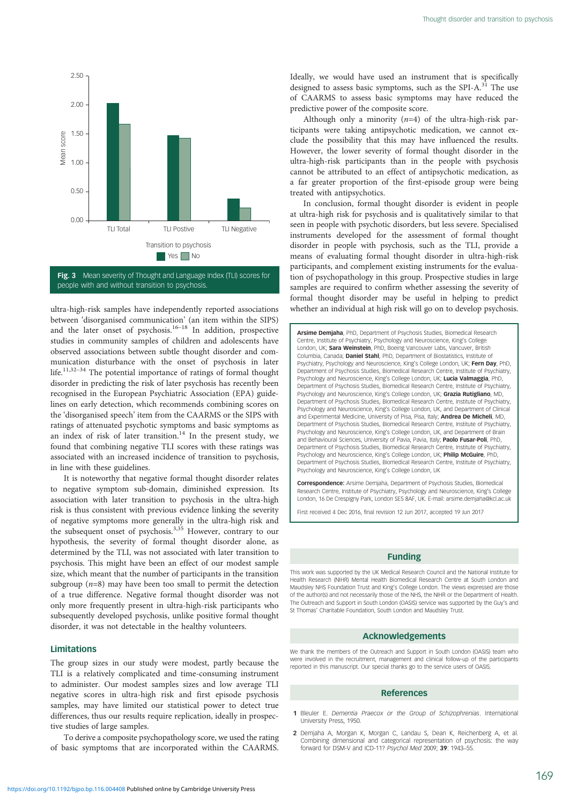<span id="page-4-0"></span>

Fig. 3 Mean severity of Thought and Language Index (TLI) scores for people with and without transition to psychosis.

ultra-high-risk samples have independently reported associations between 'disorganised communication' (an item within the SIPS) and the later onset of psychosis.<sup>[16](#page-5-0)–[18](#page-5-0)</sup> In addition, prospective studies in community samples of children and adolescents have observed associations between subtle thought disorder and communication disturbance with the onset of psychosis in later life.<sup>[11](#page-5-0),[32](#page-5-0)–[34](#page-5-0)</sup> The potential importance of ratings of formal thought disorder in predicting the risk of later psychosis has recently been recognised in the European Psychiatric Association (EPA) guidelines on early detection, which recommends combining scores on the 'disorganised speech' item from the CAARMS or the SIPS with ratings of attenuated psychotic symptoms and basic symptoms as an index of risk of later transition.<sup>[14](#page-5-0)</sup> In the present study, we found that combining negative TLI scores with these ratings was associated with an increased incidence of transition to psychosis, in line with these guidelines.

It is noteworthy that negative formal thought disorder relates to negative symptom sub-domain, diminished expression. Its association with later transition to psychosis in the ultra-high risk is thus consistent with previous evidence linking the severity of negative symptoms more generally in the ultra-high risk and the subsequent onset of psychosis.<sup>[3](#page-5-0),[35](#page-5-0)</sup> However, contrary to our hypothesis, the severity of formal thought disorder alone, as determined by the TLI, was not associated with later transition to psychosis. This might have been an effect of our modest sample size, which meant that the number of participants in the transition subgroup  $(n=8)$  may have been too small to permit the detection of a true difference. Negative formal thought disorder was not only more frequently present in ultra-high-risk participants who subsequently developed psychosis, unlike positive formal thought disorder, it was not detectable in the healthy volunteers.

#### Limitations

The group sizes in our study were modest, partly because the TLI is a relatively complicated and time-consuming instrument to administer. Our modest samples sizes and low average TLI negative scores in ultra-high risk and first episode psychosis samples, may have limited our statistical power to detect true differences, thus our results require replication, ideally in prospective studies of large samples.

To derive a composite psychopathology score, we used the rating of basic symptoms that are incorporated within the CAARMS.

Ideally, we would have used an instrument that is specifically designed to assess basic symptoms, such as the SPI-A. $31$  The use of CAARMS to assess basic symptoms may have reduced the predictive power of the composite score.

Although only a minority  $(n=4)$  of the ultra-high-risk participants were taking antipsychotic medication, we cannot exclude the possibility that this may have influenced the results. However, the lower severity of formal thought disorder in the ultra-high-risk participants than in the people with psychosis cannot be attributed to an effect of antipsychotic medication, as a far greater proportion of the first-episode group were being treated with antipsychotics.

In conclusion, formal thought disorder is evident in people at ultra-high risk for psychosis and is qualitatively similar to that seen in people with psychotic disorders, but less severe. Specialised instruments developed for the assessment of formal thought disorder in people with psychosis, such as the TLI, provide a means of evaluating formal thought disorder in ultra-high-risk participants, and complement existing instruments for the evaluation of psychopathology in this group. Prospective studies in large samples are required to confirm whether assessing the severity of formal thought disorder may be useful in helping to predict whether an individual at high risk will go on to develop psychosis.

Arsime Demjaha, PhD, Department of Psychosis Studies, Biomedical Research Centre, Institute of Psychiatry, Psychology and Neuroscience, King's College London, UK; Sara Weinstein, PhD, Boeing Vancouver Labs, Vancuver, British Columbia, Canada; Daniel Stahl, PhD, Department of Biostatistics, Institute of Psychiatry, Psychology and Neuroscience, King's College London, UK; Fern Day, PhD, Department of Psychosis Studies, Biomedical Research Centre, Institute of Psychiatry, Psychology and Neuroscience, King's College London, UK; Lucia Valmaggia, PhD, Department of Psychosis Studies, Biomedical Research Centre, Institute of Psychiatry, Psychology and Neuroscience, King's College London, UK; Grazia Rutigliano, MD, Department of Psychosis Studies, Biomedical Research Centre, Institute of Psychiatry, Psychology and Neuroscience, King's College London, UK, and Department of Clinical and Experimental Medicine, University of Pisa, Pisa, Italy; **Andrea De Micheli**, MD Department of Psychosis Studies, Biomedical Research Centre, Institute of Psychiatry, Psychology and Neuroscience, King's College London, UK, and Department of Brain and Behavioural Sciences, University of Pavia, Pavia, Italy; Paolo Fusar-Poli, PhD, Department of Psychosis Studies, Biomedical Research Centre, Institute of Psychiatry, Psychology and Neuroscience, King's College London, UK; Philip McGuire, PhD, Department of Psychosis Studies, Biomedical Research Centre, Institute of Psychiatry, Psychology and Neuroscience, King's College London, UK

Correspondence: Arsime Demjaha, Department of Psychosis Studies, Biomedical Research Centre, Institute of Psychiatry, Psychology and Neuroscience, King's College London, 16 De Crespigny Park, London SE5 8AF, UK. E-mail: [arsime.demjaha@kcl.ac.uk](mailto:arsime.demjaha@kcl.ac.uk)

First received 4 Dec 2016, final revision 12 Jun 2017, accepted 19 Jun 2017

### Funding

This work was supported by the UK Medical Research Council and the National Institute for Health Research (NIHR) Mental Health Biomedical Research Centre at South London and Maudsley NHS Foundation Trust and King's College London. The views expressed are those of the author(s) and not necessarily those of the NHS, the NIHR or the Department of Health. The Outreach and Support in South London (OASIS) service was supported by the Guy's and St Thomas' Charitable Foundation, South London and Maudsley Trust.

#### Acknowledgements

We thank the members of the Outreach and Support in South London (OASIS) team who were involved in the recruitment, management and clinical follow-up of the participants reported in this manuscript. Our special thanks go to the service users of OASIS.

#### References

- 1 Bleuler E. Dementia Praecox or the Group of Schizophrenias. International University Press, 1950.
- 2 Demjaha A, Morgan K, Morgan C, Landau S, Dean K, Reichenberg A, et al. Combining dimensional and categorical representation of psychosis: the way forward for DSM-V and ICD-11? Psychol Med 2009; 39: 1943–55.